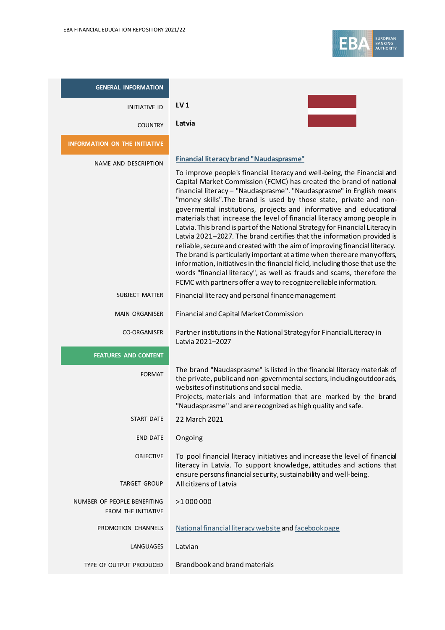| <b>GENERAL INFORMATION</b>                         |                                                                                                                                                                                                                                                                                                                                                                                                                                                                                                                                                                                                                                                                                                                                                                                                                                                                                                                                                                                                                                                |
|----------------------------------------------------|------------------------------------------------------------------------------------------------------------------------------------------------------------------------------------------------------------------------------------------------------------------------------------------------------------------------------------------------------------------------------------------------------------------------------------------------------------------------------------------------------------------------------------------------------------------------------------------------------------------------------------------------------------------------------------------------------------------------------------------------------------------------------------------------------------------------------------------------------------------------------------------------------------------------------------------------------------------------------------------------------------------------------------------------|
| <b>INITIATIVE ID</b>                               | LV <sub>1</sub>                                                                                                                                                                                                                                                                                                                                                                                                                                                                                                                                                                                                                                                                                                                                                                                                                                                                                                                                                                                                                                |
| <b>COUNTRY</b>                                     | Latvia                                                                                                                                                                                                                                                                                                                                                                                                                                                                                                                                                                                                                                                                                                                                                                                                                                                                                                                                                                                                                                         |
| <b>INFORMATION ON THE INITIATIVE</b>               |                                                                                                                                                                                                                                                                                                                                                                                                                                                                                                                                                                                                                                                                                                                                                                                                                                                                                                                                                                                                                                                |
| NAME AND DESCRIPTION                               | Financial literacy brand "Naudasprasme"<br>To improve people's financial literacy and well-being, the Financial and<br>Capital Market Commission (FCMC) has created the brand of national<br>financial literacy - "Naudasprasme". "Naudasprasme" in English means<br>"money skills". The brand is used by those state, private and non-<br>govermental institutions, projects and informative and educational<br>materials that increase the level of financial literacy among people in<br>Latvia. This brand is part of the National Strategy for Financial Literacy in<br>Latvia 2021-2027. The brand certifies that the information provided is<br>reliable, secure and created with the aim of improving financial literacy.<br>The brand is particularly important at a time when there are many offers,<br>information, initiatives in the financial field, including those that use the<br>words "financial literacy", as well as frauds and scams, therefore the<br>FCMC with partners offer a way to recognize reliable information. |
| SUBJECT MATTER                                     | Financial literacy and personal finance management                                                                                                                                                                                                                                                                                                                                                                                                                                                                                                                                                                                                                                                                                                                                                                                                                                                                                                                                                                                             |
| <b>MAIN ORGANISER</b>                              | Financial and Capital Market Commission                                                                                                                                                                                                                                                                                                                                                                                                                                                                                                                                                                                                                                                                                                                                                                                                                                                                                                                                                                                                        |
| <b>CO-ORGANISER</b>                                | Partner institutions in the National Strategy for Financial Literacy in<br>Latvia 2021-2027                                                                                                                                                                                                                                                                                                                                                                                                                                                                                                                                                                                                                                                                                                                                                                                                                                                                                                                                                    |
| <b>FEATURES AND CONTENT</b>                        |                                                                                                                                                                                                                                                                                                                                                                                                                                                                                                                                                                                                                                                                                                                                                                                                                                                                                                                                                                                                                                                |
| <b>FORMAT</b>                                      | The brand "Naudasprasme" is listed in the financial literacy materials of<br>the private, public and non-governmental sectors, including outdoor ads,<br>websites of institutions and social media.<br>Projects, materials and information that are marked by the brand<br>"Naudasprasme" and are recognized as high quality and safe.                                                                                                                                                                                                                                                                                                                                                                                                                                                                                                                                                                                                                                                                                                         |
| <b>START DATE</b>                                  | 22 March 2021                                                                                                                                                                                                                                                                                                                                                                                                                                                                                                                                                                                                                                                                                                                                                                                                                                                                                                                                                                                                                                  |
| <b>END DATE</b>                                    | Ongoing                                                                                                                                                                                                                                                                                                                                                                                                                                                                                                                                                                                                                                                                                                                                                                                                                                                                                                                                                                                                                                        |
| <b>OBJECTIVE</b><br><b>TARGET GROUP</b>            | To pool financial literacy initiatives and increase the level of financial<br>literacy in Latvia. To support knowledge, attitudes and actions that<br>ensure persons financial security, sustainability and well-being.<br>All citizens of Latvia                                                                                                                                                                                                                                                                                                                                                                                                                                                                                                                                                                                                                                                                                                                                                                                              |
| NUMBER OF PEOPLE BENEFITING<br>FROM THE INITIATIVE | >1 000 000                                                                                                                                                                                                                                                                                                                                                                                                                                                                                                                                                                                                                                                                                                                                                                                                                                                                                                                                                                                                                                     |
| PROMOTION CHANNELS                                 | National financial literacy website and facebook page                                                                                                                                                                                                                                                                                                                                                                                                                                                                                                                                                                                                                                                                                                                                                                                                                                                                                                                                                                                          |
| LANGUAGES                                          | Latvian                                                                                                                                                                                                                                                                                                                                                                                                                                                                                                                                                                                                                                                                                                                                                                                                                                                                                                                                                                                                                                        |
| TYPE OF OUTPUT PRODUCED                            | Brandbook and brand materials                                                                                                                                                                                                                                                                                                                                                                                                                                                                                                                                                                                                                                                                                                                                                                                                                                                                                                                                                                                                                  |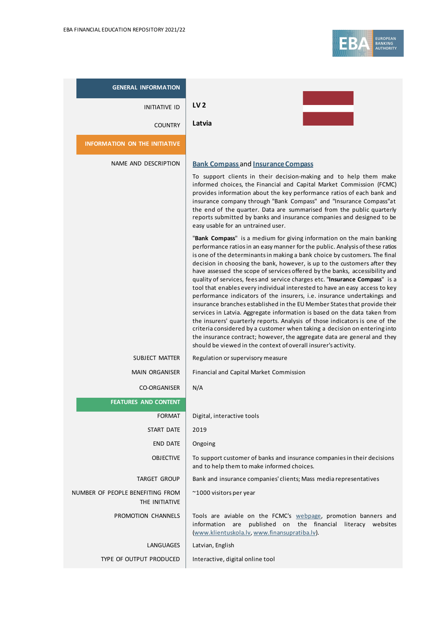| <b>GENERAL INFORMATION</b>                         |                                                                                                                                                                                                                                                                                                                                                                                                                                                                                                                                                                                                                                                                                                                                                                                                                                                                                                                                                                                                                                                                                                                                                                                                                                                                                                                                                                                                                                                                                                                                                                                                                                                 |
|----------------------------------------------------|-------------------------------------------------------------------------------------------------------------------------------------------------------------------------------------------------------------------------------------------------------------------------------------------------------------------------------------------------------------------------------------------------------------------------------------------------------------------------------------------------------------------------------------------------------------------------------------------------------------------------------------------------------------------------------------------------------------------------------------------------------------------------------------------------------------------------------------------------------------------------------------------------------------------------------------------------------------------------------------------------------------------------------------------------------------------------------------------------------------------------------------------------------------------------------------------------------------------------------------------------------------------------------------------------------------------------------------------------------------------------------------------------------------------------------------------------------------------------------------------------------------------------------------------------------------------------------------------------------------------------------------------------|
| <b>INITIATIVE ID</b>                               | LV <sub>2</sub>                                                                                                                                                                                                                                                                                                                                                                                                                                                                                                                                                                                                                                                                                                                                                                                                                                                                                                                                                                                                                                                                                                                                                                                                                                                                                                                                                                                                                                                                                                                                                                                                                                 |
| <b>COUNTRY</b>                                     | Latvia                                                                                                                                                                                                                                                                                                                                                                                                                                                                                                                                                                                                                                                                                                                                                                                                                                                                                                                                                                                                                                                                                                                                                                                                                                                                                                                                                                                                                                                                                                                                                                                                                                          |
| <b>INFORMATION ON THE INITIATIVE</b>               |                                                                                                                                                                                                                                                                                                                                                                                                                                                                                                                                                                                                                                                                                                                                                                                                                                                                                                                                                                                                                                                                                                                                                                                                                                                                                                                                                                                                                                                                                                                                                                                                                                                 |
| NAME AND DESCRIPTION                               | <b>Bank Compass and Insurance Compass</b><br>To support clients in their decision-making and to help them make<br>informed choices, the Financial and Capital Market Commission (FCMC)<br>provides information about the key performance ratios of each bank and<br>insurance company through "Bank Compass" and "Insurance Compass"at<br>the end of the quarter. Data are summarised from the public quarterly<br>reports submitted by banks and insurance companies and designed to be<br>easy usable for an untrained user.<br>"Bank Compass" is a medium for giving information on the main banking<br>performance ratios in an easy manner for the public. Analysis of these ratios<br>is one of the determinants in making a bank choice by customers. The final<br>decision in choosing the bank, however, is up to the customers after they<br>have assessed the scope of services offered by the banks, accessibility and<br>quality of services, fees and service charges etc. "Insurance Compass" is a<br>tool that enables every individual interested to have an easy access to key<br>performance indicators of the insurers, i.e. insurance undertakings and<br>insurance branches established in the EU Member States that provide their<br>services in Latvia. Aggregate information is based on the data taken from<br>the insurers' quarterly reports. Analysis of those indicators is one of the<br>criteria considered by a customer when taking a decision on entering into<br>the insurance contract; however, the aggregate data are general and they<br>should be viewed in the context of overall insurer's activity. |
| <b>SUBJECT MATTER</b>                              | Regulation or supervisory measure                                                                                                                                                                                                                                                                                                                                                                                                                                                                                                                                                                                                                                                                                                                                                                                                                                                                                                                                                                                                                                                                                                                                                                                                                                                                                                                                                                                                                                                                                                                                                                                                               |
| MAIN ORGANISER                                     | Financial and Capital Market Commission                                                                                                                                                                                                                                                                                                                                                                                                                                                                                                                                                                                                                                                                                                                                                                                                                                                                                                                                                                                                                                                                                                                                                                                                                                                                                                                                                                                                                                                                                                                                                                                                         |
| <b>CO-ORGANISER</b>                                | N/A                                                                                                                                                                                                                                                                                                                                                                                                                                                                                                                                                                                                                                                                                                                                                                                                                                                                                                                                                                                                                                                                                                                                                                                                                                                                                                                                                                                                                                                                                                                                                                                                                                             |
| <b>FEATURES AND CONTENT</b>                        |                                                                                                                                                                                                                                                                                                                                                                                                                                                                                                                                                                                                                                                                                                                                                                                                                                                                                                                                                                                                                                                                                                                                                                                                                                                                                                                                                                                                                                                                                                                                                                                                                                                 |
| <b>FORMAT</b>                                      | Digital, interactive tools                                                                                                                                                                                                                                                                                                                                                                                                                                                                                                                                                                                                                                                                                                                                                                                                                                                                                                                                                                                                                                                                                                                                                                                                                                                                                                                                                                                                                                                                                                                                                                                                                      |
| <b>START DATE</b>                                  | 2019                                                                                                                                                                                                                                                                                                                                                                                                                                                                                                                                                                                                                                                                                                                                                                                                                                                                                                                                                                                                                                                                                                                                                                                                                                                                                                                                                                                                                                                                                                                                                                                                                                            |
| END DATE                                           | Ongoing                                                                                                                                                                                                                                                                                                                                                                                                                                                                                                                                                                                                                                                                                                                                                                                                                                                                                                                                                                                                                                                                                                                                                                                                                                                                                                                                                                                                                                                                                                                                                                                                                                         |
| <b>OBJECTIVE</b>                                   | To support customer of banks and insurance companies in their decisions<br>and to help them to make informed choices.                                                                                                                                                                                                                                                                                                                                                                                                                                                                                                                                                                                                                                                                                                                                                                                                                                                                                                                                                                                                                                                                                                                                                                                                                                                                                                                                                                                                                                                                                                                           |
| <b>TARGET GROUP</b>                                | Bank and insurance companies' clients; Mass media representatives                                                                                                                                                                                                                                                                                                                                                                                                                                                                                                                                                                                                                                                                                                                                                                                                                                                                                                                                                                                                                                                                                                                                                                                                                                                                                                                                                                                                                                                                                                                                                                               |
| NUMBER OF PEOPLE BENEFITING FROM<br>THE INITIATIVE | ~1000 visitors per year                                                                                                                                                                                                                                                                                                                                                                                                                                                                                                                                                                                                                                                                                                                                                                                                                                                                                                                                                                                                                                                                                                                                                                                                                                                                                                                                                                                                                                                                                                                                                                                                                         |
| PROMOTION CHANNELS                                 | Tools are aviable on the FCMC's webpage, promotion banners and<br>information are published on the financial literacy websites<br>(www.klientuskola.lv, www.finansupratiba.lv).                                                                                                                                                                                                                                                                                                                                                                                                                                                                                                                                                                                                                                                                                                                                                                                                                                                                                                                                                                                                                                                                                                                                                                                                                                                                                                                                                                                                                                                                 |
| LANGUAGES                                          | Latvian, English                                                                                                                                                                                                                                                                                                                                                                                                                                                                                                                                                                                                                                                                                                                                                                                                                                                                                                                                                                                                                                                                                                                                                                                                                                                                                                                                                                                                                                                                                                                                                                                                                                |
| TYPE OF OUTPUT PRODUCED                            | Interactive, digital online tool                                                                                                                                                                                                                                                                                                                                                                                                                                                                                                                                                                                                                                                                                                                                                                                                                                                                                                                                                                                                                                                                                                                                                                                                                                                                                                                                                                                                                                                                                                                                                                                                                |